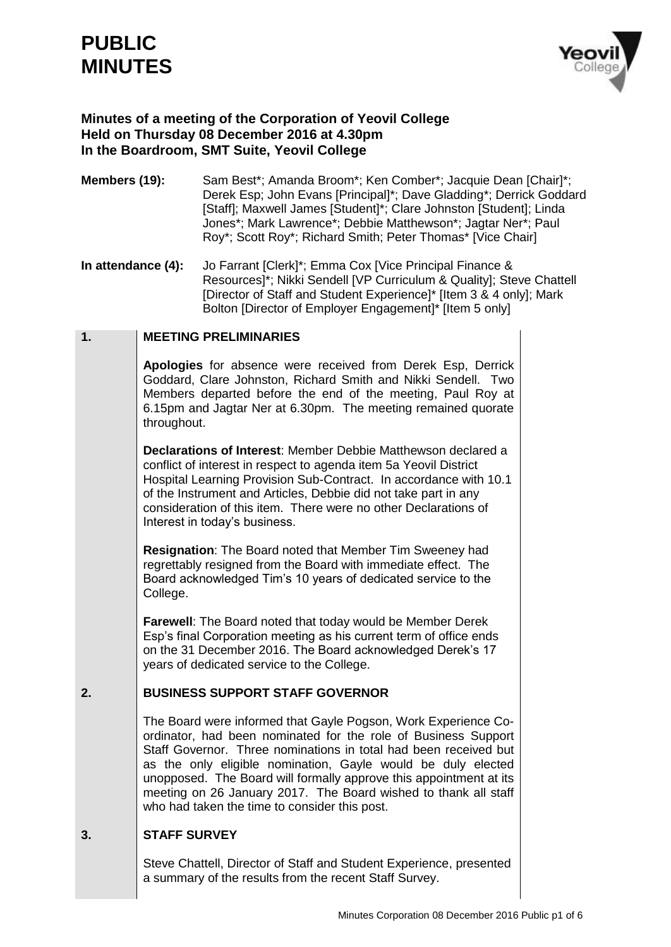# **PUBLIC MINUTES**



# **Minutes of a meeting of the Corporation of Yeovil College Held on Thursday 08 December 2016 at 4.30pm In the Boardroom, SMT Suite, Yeovil College**

- **Members (19):** Sam Best\*; Amanda Broom\*; Ken Comber\*; Jacquie Dean [Chair]\*; Derek Esp; John Evans [Principal]\*; Dave Gladding\*; Derrick Goddard [Staff]; Maxwell James [Student]\*; Clare Johnston [Student]; Linda Jones\*; Mark Lawrence\*; Debbie Matthewson\*; Jagtar Ner\*; Paul Roy\*; Scott Roy\*; Richard Smith; Peter Thomas\* [Vice Chair]
- **In attendance (4):** Jo Farrant [Clerk]\*; Emma Cox [Vice Principal Finance & Resources]\*; Nikki Sendell [VP Curriculum & Quality]; Steve Chattell [Director of Staff and Student Experience]\* [Item 3 & 4 only]; Mark Bolton [Director of Employer Engagement]\* [Item 5 only]

#### **1. MEETING PRELIMINARIES**

**Apologies** for absence were received from Derek Esp, Derrick Goddard, Clare Johnston, Richard Smith and Nikki Sendell. Two Members departed before the end of the meeting, Paul Roy at 6.15pm and Jagtar Ner at 6.30pm. The meeting remained quorate throughout.

**Declarations of Interest**: Member Debbie Matthewson declared a conflict of interest in respect to agenda item 5a Yeovil District Hospital Learning Provision Sub-Contract. In accordance with 10.1 of the Instrument and Articles, Debbie did not take part in any consideration of this item. There were no other Declarations of Interest in today's business.

**Resignation**: The Board noted that Member Tim Sweeney had regrettably resigned from the Board with immediate effect. The Board acknowledged Tim's 10 years of dedicated service to the College.

**Farewell**: The Board noted that today would be Member Derek Esp's final Corporation meeting as his current term of office ends on the 31 December 2016. The Board acknowledged Derek's 17 years of dedicated service to the College.

#### **2. BUSINESS SUPPORT STAFF GOVERNOR**

The Board were informed that Gayle Pogson, Work Experience Coordinator, had been nominated for the role of Business Support Staff Governor. Three nominations in total had been received but as the only eligible nomination, Gayle would be duly elected unopposed. The Board will formally approve this appointment at its meeting on 26 January 2017. The Board wished to thank all staff who had taken the time to consider this post.

#### **3. STAFF SURVEY**

Steve Chattell, Director of Staff and Student Experience, presented a summary of the results from the recent Staff Survey.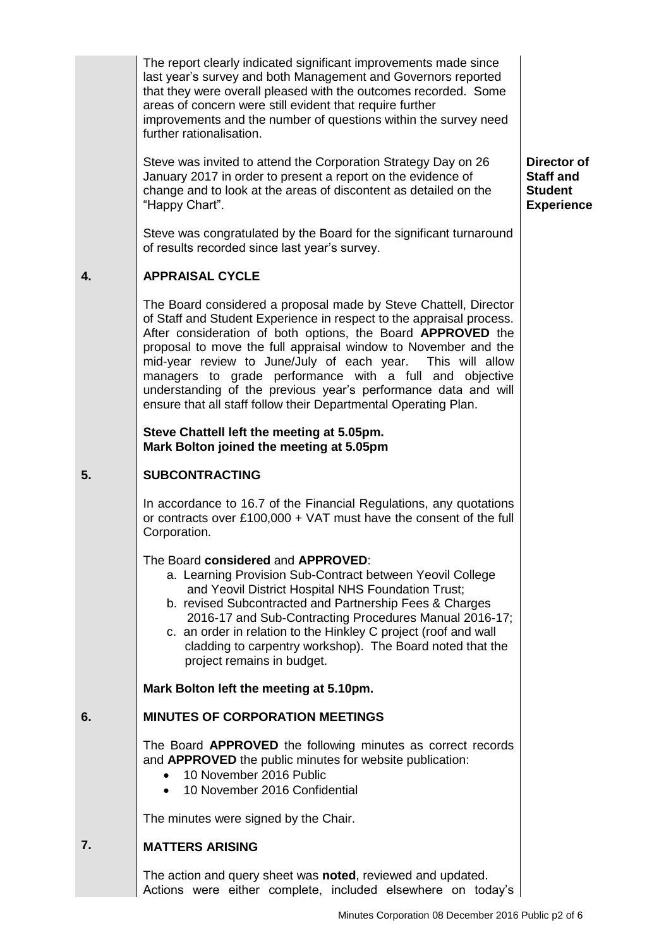The report clearly indicated significant improvements made since last year's survey and both Management and Governors reported that they were overall pleased with the outcomes recorded. Some areas of concern were still evident that require further improvements and the number of questions within the survey need further rationalisation.

Steve was invited to attend the Corporation Strategy Day on 26 January 2017 in order to present a report on the evidence of change and to look at the areas of discontent as detailed on the "Happy Chart".

Steve was congratulated by the Board for the significant turnaround of results recorded since last year's survey.

#### **4. APPRAISAL CYCLE**

The Board considered a proposal made by Steve Chattell, Director of Staff and Student Experience in respect to the appraisal process. After consideration of both options, the Board **APPROVED** the proposal to move the full appraisal window to November and the mid-year review to June/July of each year. This will allow managers to grade performance with a full and objective understanding of the previous year's performance data and will ensure that all staff follow their Departmental Operating Plan.

### **Steve Chattell left the meeting at 5.05pm. Mark Bolton joined the meeting at 5.05pm**

#### **5. SUBCONTRACTING**

In accordance to 16.7 of the Financial Regulations, any quotations or contracts over £100,000 + VAT must have the consent of the full Corporation.

## The Board **considered** and **APPROVED**:

- a. Learning Provision Sub-Contract between Yeovil College and Yeovil District Hospital NHS Foundation Trust;
- b. revised Subcontracted and Partnership Fees & Charges 2016-17 and Sub-Contracting Procedures Manual 2016-17;
- c. an order in relation to the Hinkley C project (roof and wall cladding to carpentry workshop). The Board noted that the project remains in budget.

**Mark Bolton left the meeting at 5.10pm.**

#### **6. MINUTES OF CORPORATION MEETINGS**

The Board **APPROVED** the following minutes as correct records and **APPROVED** the public minutes for website publication:

- 10 November 2016 Public
- 10 November 2016 Confidential

The minutes were signed by the Chair.

#### **7. MATTERS ARISING**

The action and query sheet was **noted**, reviewed and updated. Actions were either complete, included elsewhere on today's

**Director of Staff and Student Experience**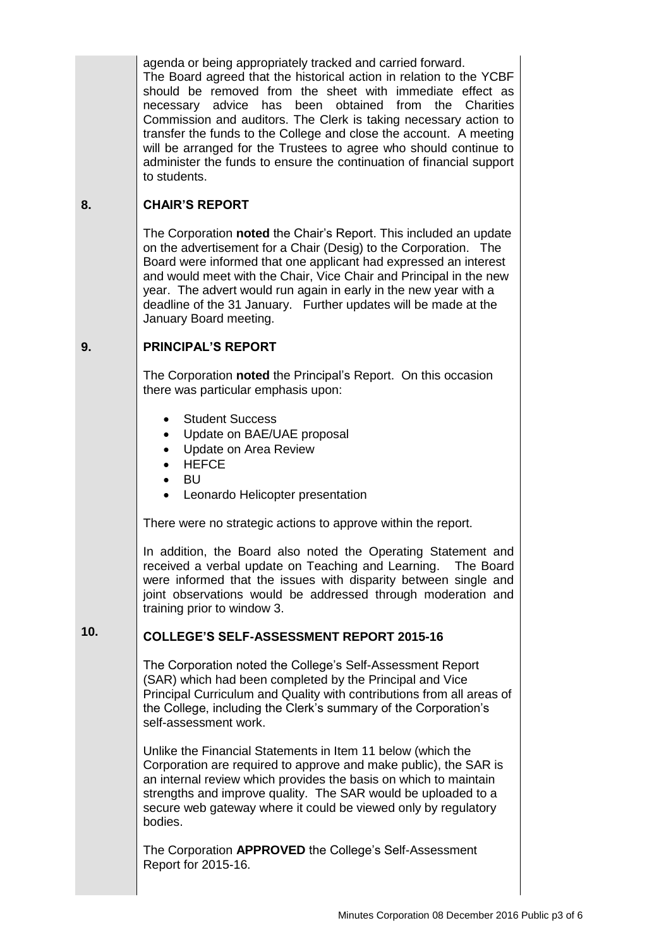agenda or being appropriately tracked and carried forward. The Board agreed that the historical action in relation to the YCBF should be removed from the sheet with immediate effect as necessary advice has been obtained from the Charities Commission and auditors. The Clerk is taking necessary action to transfer the funds to the College and close the account. A meeting will be arranged for the Trustees to agree who should continue to administer the funds to ensure the continuation of financial support to students.

#### **8. CHAIR'S REPORT**

The Corporation **noted** the Chair's Report. This included an update on the advertisement for a Chair (Desig) to the Corporation. The Board were informed that one applicant had expressed an interest and would meet with the Chair, Vice Chair and Principal in the new year. The advert would run again in early in the new year with a deadline of the 31 January. Further updates will be made at the January Board meeting.

#### **9. PRINCIPAL'S REPORT**

The Corporation **noted** the Principal's Report. On this occasion there was particular emphasis upon:

- Student Success
- Update on BAE/UAE proposal
- Update on Area Review
- **HEFCE**
- BU
- Leonardo Helicopter presentation

There were no strategic actions to approve within the report.

In addition, the Board also noted the Operating Statement and received a verbal update on Teaching and Learning. The Board were informed that the issues with disparity between single and joint observations would be addressed through moderation and training prior to window 3.

#### **10. COLLEGE'S SELF-ASSESSMENT REPORT 2015-16**

The Corporation noted the College's Self-Assessment Report (SAR) which had been completed by the Principal and Vice Principal Curriculum and Quality with contributions from all areas of the College, including the Clerk's summary of the Corporation's self-assessment work.

Unlike the Financial Statements in Item 11 below (which the Corporation are required to approve and make public), the SAR is an internal review which provides the basis on which to maintain strengths and improve quality. The SAR would be uploaded to a secure web gateway where it could be viewed only by regulatory bodies.

The Corporation **APPROVED** the College's Self-Assessment Report for 2015-16.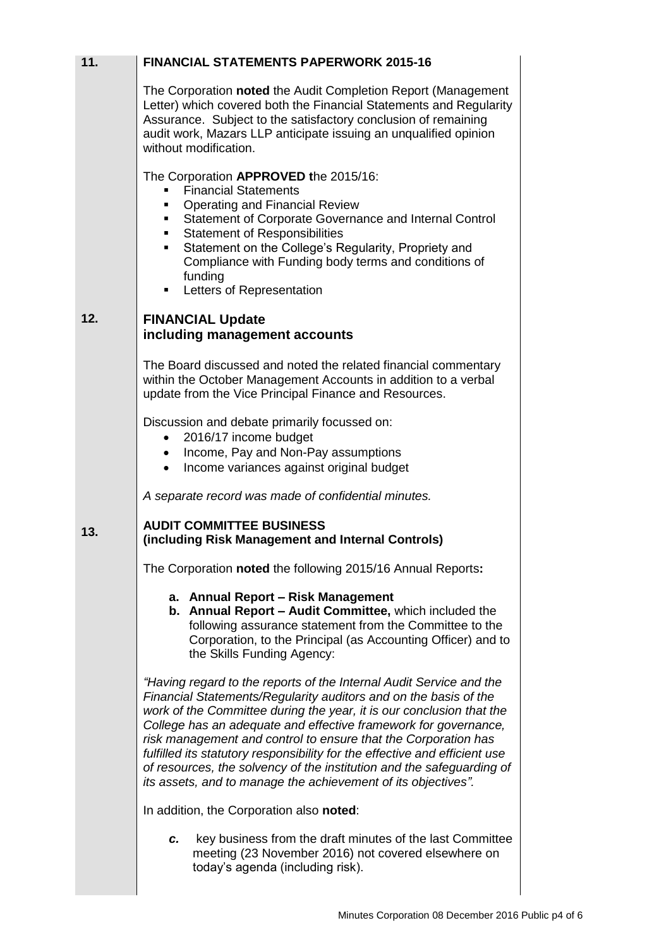| 11. | <b>FINANCIAL STATEMENTS PAPERWORK 2015-16</b>                                                                                                                                                                                                                                                                                                                                                                                                                                                                                                                                |
|-----|------------------------------------------------------------------------------------------------------------------------------------------------------------------------------------------------------------------------------------------------------------------------------------------------------------------------------------------------------------------------------------------------------------------------------------------------------------------------------------------------------------------------------------------------------------------------------|
|     | The Corporation noted the Audit Completion Report (Management<br>Letter) which covered both the Financial Statements and Regularity<br>Assurance. Subject to the satisfactory conclusion of remaining<br>audit work, Mazars LLP anticipate issuing an unqualified opinion<br>without modification.                                                                                                                                                                                                                                                                           |
|     | The Corporation APPROVED the 2015/16:                                                                                                                                                                                                                                                                                                                                                                                                                                                                                                                                        |
|     | <b>Financial Statements</b><br><b>Operating and Financial Review</b><br>Statement of Corporate Governance and Internal Control<br><b>Statement of Responsibilities</b><br>Statement on the College's Regularity, Propriety and<br>Compliance with Funding body terms and conditions of<br>funding<br>Letters of Representation<br>٠                                                                                                                                                                                                                                          |
|     |                                                                                                                                                                                                                                                                                                                                                                                                                                                                                                                                                                              |
| 12. | <b>FINANCIAL Update</b><br>including management accounts                                                                                                                                                                                                                                                                                                                                                                                                                                                                                                                     |
|     | The Board discussed and noted the related financial commentary<br>within the October Management Accounts in addition to a verbal<br>update from the Vice Principal Finance and Resources.                                                                                                                                                                                                                                                                                                                                                                                    |
|     | Discussion and debate primarily focussed on:<br>2016/17 income budget                                                                                                                                                                                                                                                                                                                                                                                                                                                                                                        |
|     | Income, Pay and Non-Pay assumptions                                                                                                                                                                                                                                                                                                                                                                                                                                                                                                                                          |
|     | Income variances against original budget                                                                                                                                                                                                                                                                                                                                                                                                                                                                                                                                     |
|     | A separate record was made of confidential minutes.                                                                                                                                                                                                                                                                                                                                                                                                                                                                                                                          |
| 13. | <b>AUDIT COMMITTEE BUSINESS</b><br>(including Risk Management and Internal Controls)                                                                                                                                                                                                                                                                                                                                                                                                                                                                                         |
|     | The Corporation noted the following 2015/16 Annual Reports:                                                                                                                                                                                                                                                                                                                                                                                                                                                                                                                  |
|     | a. Annual Report - Risk Management<br>b. Annual Report - Audit Committee, which included the<br>following assurance statement from the Committee to the<br>Corporation, to the Principal (as Accounting Officer) and to<br>the Skills Funding Agency:                                                                                                                                                                                                                                                                                                                        |
|     | "Having regard to the reports of the Internal Audit Service and the<br>Financial Statements/Regularity auditors and on the basis of the<br>work of the Committee during the year, it is our conclusion that the<br>College has an adequate and effective framework for governance,<br>risk management and control to ensure that the Corporation has<br>fulfilled its statutory responsibility for the effective and efficient use<br>of resources, the solvency of the institution and the safeguarding of<br>its assets, and to manage the achievement of its objectives". |
|     | In addition, the Corporation also noted:                                                                                                                                                                                                                                                                                                                                                                                                                                                                                                                                     |
|     | key business from the draft minutes of the last Committee<br>c.<br>meeting (23 November 2016) not covered elsewhere on<br>today's agenda (including risk).                                                                                                                                                                                                                                                                                                                                                                                                                   |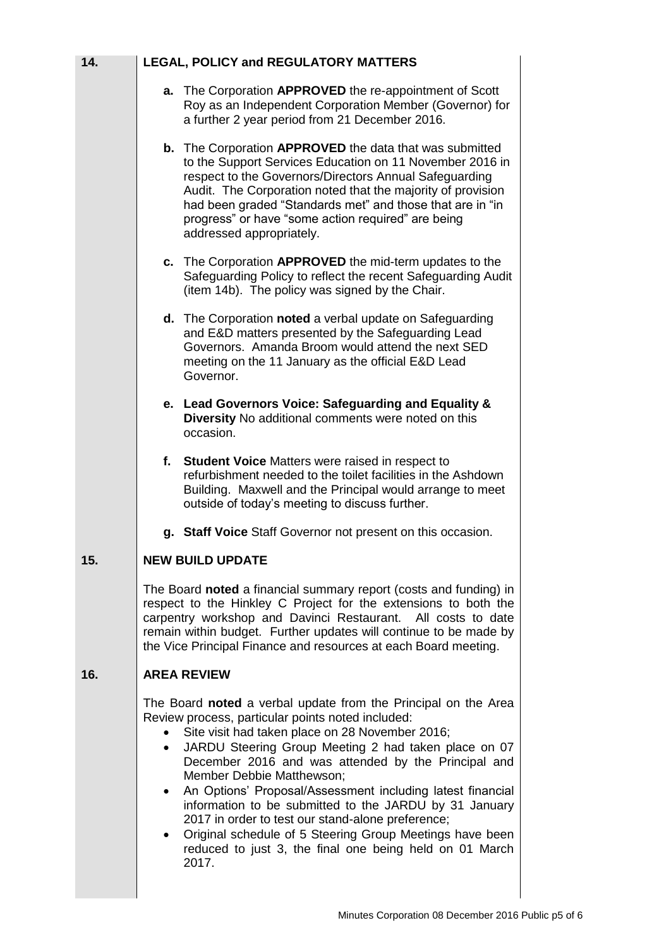| 14. | <b>LEGAL, POLICY and REGULATORY MATTERS</b>                                                                                                                                                                                                                                                                                                                                                                                                                                                                                                                                                                                                               |  |
|-----|-----------------------------------------------------------------------------------------------------------------------------------------------------------------------------------------------------------------------------------------------------------------------------------------------------------------------------------------------------------------------------------------------------------------------------------------------------------------------------------------------------------------------------------------------------------------------------------------------------------------------------------------------------------|--|
|     | The Corporation APPROVED the re-appointment of Scott<br>а.<br>Roy as an Independent Corporation Member (Governor) for<br>a further 2 year period from 21 December 2016.                                                                                                                                                                                                                                                                                                                                                                                                                                                                                   |  |
|     | <b>b.</b> The Corporation APPROVED the data that was submitted<br>to the Support Services Education on 11 November 2016 in<br>respect to the Governors/Directors Annual Safeguarding<br>Audit. The Corporation noted that the majority of provision<br>had been graded "Standards met" and those that are in "in<br>progress" or have "some action required" are being<br>addressed appropriately.                                                                                                                                                                                                                                                        |  |
|     | c. The Corporation APPROVED the mid-term updates to the<br>Safeguarding Policy to reflect the recent Safeguarding Audit<br>(item 14b). The policy was signed by the Chair.                                                                                                                                                                                                                                                                                                                                                                                                                                                                                |  |
|     | d. The Corporation noted a verbal update on Safeguarding<br>and E&D matters presented by the Safeguarding Lead<br>Governors. Amanda Broom would attend the next SED<br>meeting on the 11 January as the official E&D Lead<br>Governor.                                                                                                                                                                                                                                                                                                                                                                                                                    |  |
|     | e. Lead Governors Voice: Safeguarding and Equality &<br>Diversity No additional comments were noted on this<br>occasion.                                                                                                                                                                                                                                                                                                                                                                                                                                                                                                                                  |  |
|     | f. Student Voice Matters were raised in respect to<br>refurbishment needed to the toilet facilities in the Ashdown<br>Building. Maxwell and the Principal would arrange to meet<br>outside of today's meeting to discuss further.                                                                                                                                                                                                                                                                                                                                                                                                                         |  |
|     | g. Staff Voice Staff Governor not present on this occasion.                                                                                                                                                                                                                                                                                                                                                                                                                                                                                                                                                                                               |  |
| 15. | <b>NEW BUILD UPDATE</b>                                                                                                                                                                                                                                                                                                                                                                                                                                                                                                                                                                                                                                   |  |
|     | The Board noted a financial summary report (costs and funding) in<br>respect to the Hinkley C Project for the extensions to both the<br>carpentry workshop and Davinci Restaurant. All costs to date<br>remain within budget. Further updates will continue to be made by<br>the Vice Principal Finance and resources at each Board meeting.                                                                                                                                                                                                                                                                                                              |  |
| 16. | <b>AREA REVIEW</b>                                                                                                                                                                                                                                                                                                                                                                                                                                                                                                                                                                                                                                        |  |
|     | The Board noted a verbal update from the Principal on the Area<br>Review process, particular points noted included:<br>Site visit had taken place on 28 November 2016;<br>JARDU Steering Group Meeting 2 had taken place on 07<br>$\bullet$<br>December 2016 and was attended by the Principal and<br>Member Debbie Matthewson;<br>An Options' Proposal/Assessment including latest financial<br>information to be submitted to the JARDU by 31 January<br>2017 in order to test our stand-alone preference;<br>Original schedule of 5 Steering Group Meetings have been<br>$\bullet$<br>reduced to just 3, the final one being held on 01 March<br>2017. |  |